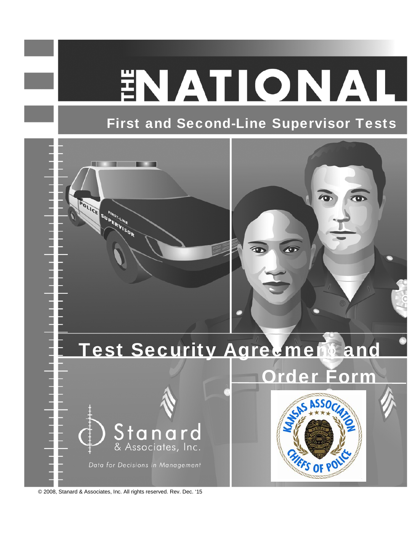# ENATIONAL

# First and Second-Line Supervisor Tests



© 2008, Stanard & Associates, Inc. All rights reserved. Rev. Dec. '15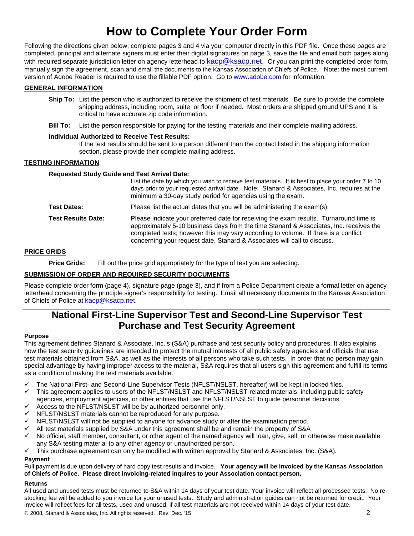## **How to Complete Your Order Form**

Following the directions given below, complete pages 3 and 4 via your computer directly in this PDF file. Once these pages are completed, principal and alternate signers must enter their digital signatures on page 3, save the file and email both pages along with required separate jurisdiction letter on agency letterhead to kacp@ksacp.net. Or you can print the completed order form, manually sign the agreement, scan and email the documents to the Kansas Association of Chiefs of Police. Note: the most current version of Adobe Reader is required to use the fillable PDF option. Go to www.adobe.com for information.

#### **GENERAL INFORMATION**

- **Ship To:** List the person who is authorized to receive the shipment of test materials. Be sure to provide the complete shipping address, including room, suite, or floor if needed. Most orders are shipped ground UPS and it is critical to have accurate zip code information.
- **Bill To:** List the person responsible for paying for the testing materials and their complete mailing address.

#### **Individual Authorized to Receive Test Results:**

If the test results should be sent to a person different than the contact listed in the shipping information section, please provide their complete mailing address.

#### **TESTING INFORMATION**

#### **Requested Study Guide and Test Arrival Date:**

|                           | List the date by which you wish to receive test materials. It is best to place your order 7 to 10<br>days prior to your requested arrival date. Note: Stanard & Associates, Inc. requires at the<br>minimum a 30-day study period for agencies using the exam.                                                                                     |
|---------------------------|----------------------------------------------------------------------------------------------------------------------------------------------------------------------------------------------------------------------------------------------------------------------------------------------------------------------------------------------------|
| <b>Test Dates:</b>        | Please list the actual dates that you will be administering the exam(s).                                                                                                                                                                                                                                                                           |
| <b>Test Results Date:</b> | Please indicate your preferred date for receiving the exam results. Turnaround time is<br>approximately 5-10 business days from the time Stanard & Associates, Inc. receives the<br>completed tests; however this may vary according to volume. If there is a conflict<br>concerning your request date, Stanard & Associates will call to discuss. |

#### **PRICE GRIDS**

**Price Grids:** Fill out the price grid appropriately for the type of test you are selecting.

#### **SUBMISSION OF ORDER AND REQUIRED SECURITY DOCUMENTS**

Please complete order form (page 4), signature page (page 3), and if from a Police Department create a formal letter on agency letterhead concerning the principle signer's responsibility for testing. Email all necessary documents to the Kansas Association of Chiefs of Police at kacp@ksacp.net.

## **National First-Line Supervisor Test and Second-Line Supervisor Test Purchase and Test Security Agreement**

#### **Purpose**

This agreement defines Stanard & Associate, Inc.'s (S&A) purchase and test security policy and procedures. It also explains how the test security guidelines are intended to protect the mutual interests of all public safety agencies and officials that use test materials obtained from S&A, as well as the interests of all persons who take such tests. In order that no person may gain special advantage by having improper access to the material, S&A requires that all users sign this agreement and fulfill its terms as a condition of making the test materials available.

- The National First- and Second-Line Supervisor Tests (NFLST/NSLST, hereafter) will be kept in locked files.
- This agreement applies to users of the NFLST/NSLST and NFLST/NSLST-related materials, including public safety agencies, employment agencies, or other entities that use the NFLST/NSLST to guide personnel decisions.
- Access to the NFLST/NSLST will be by authorized personnel only.
- NFLST/NSLST materials cannot be reproduced for any purpose.
- NFLST/NSLST will not be supplied to anyone for advance study or after the examination period.
- All test materials supplied by S&A under this agreement shall be and remain the property of S&A
- No official, staff member, consultant, or other agent of the named agency will loan, give, sell, or otherwise make available any S&A testing material to any other agency or unauthorized person.
- $\checkmark$  This purchase agreement can only be modified with written approval by Stanard & Associates, Inc. (S&A).

#### **Payment**

Full payment is due upon delivery of hard copy test results and invoice. **Your agency will be invoiced by the Kansas Association of Chiefs of Police. Please direct invoicing-related inquires to your Association contact person.**

#### **Returns**

 2008, Stanard & Associates, Inc. All rights reserved. Rev. Dec. '15 2 All used and unused tests must be returned to S&A within 14 days of your test date. Your invoice will reflect all processed tests. No restocking fee will be added to you invoice for your unused tests. Study and administration guides can not be returned for credit. Your invoice will reflect fees for all tests, used and unused, if all test materials are not received within 14 days of your test date.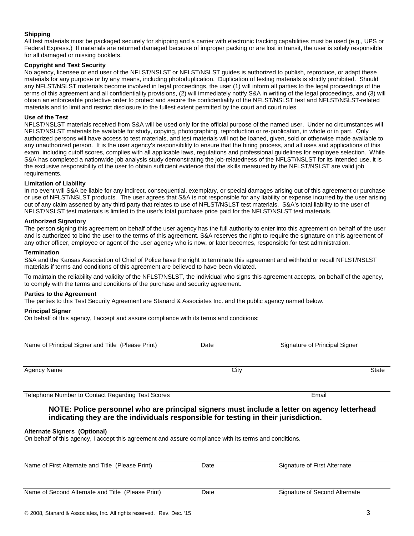#### **Shipping**

All test materials must be packaged securely for shipping and a carrier with electronic tracking capabilities must be used (e.g., UPS or Federal Express.) If materials are returned damaged because of improper packing or are lost in transit, the user is solely responsible for all damaged or missing booklets.

#### **Copyright and Test Security**

No agency, licensee or end user of the NFLST/NSLST or NFLST/NSLST guides is authorized to publish, reproduce, or adapt these materials for any purpose or by any means, including photoduplication. Duplication of testing materials is strictly prohibited. Should any NFLST/NSLST materials become involved in legal proceedings, the user (1) will inform all parties to the legal proceedings of the terms of this agreement and all confidentiality provisions, (2) will immediately notify S&A in writing of the legal proceedings, and (3) will obtain an enforceable protective order to protect and secure the confidentiality of the NFLST/NSLST test and NFLST/NSLST-related materials and to limit and restrict disclosure to the fullest extent permitted by the court and court rules.

#### **Use of the Test**

NFLST/NSLST materials received from S&A will be used only for the official purpose of the named user. Under no circumstances will NFLST/NSLST materials be available for study, copying, photographing, reproduction or re-publication, in whole or in part. Only authorized persons will have access to test materials, and test materials will not be loaned, given, sold or otherwise made available to any unauthorized person. It is the user agency's responsibility to ensure that the hiring process, and all uses and applications of this exam, including cutoff scores, complies with all applicable laws, regulations and professional guidelines for employee selection. While S&A has completed a nationwide job analysis study demonstrating the job-relatedness of the NFLST/NSLST for its intended use, it is the exclusive responsibility of the user to obtain sufficient evidence that the skills measured by the NFLST/NSLST are valid job requirements.

#### **Limitation of Liability**

In no event will S&A be liable for any indirect, consequential, exemplary, or special damages arising out of this agreement or purchase or use of NFLST/NSLST products. The user agrees that S&A is not responsible for any liability or expense incurred by the user arising out of any claim asserted by any third party that relates to use of NFLST/NSLST test materials. S&A's total liability to the user of NFLST/NSLST test materials is limited to the user's total purchase price paid for the NFLST/NSLST test materials.

#### **Authorized Signatory**

The person signing this agreement on behalf of the user agency has the full authority to enter into this agreement on behalf of the user and is authorized to bind the user to the terms of this agreement. S&A reserves the right to require the signature on this agreement of any other officer, employee or agent of the user agency who is now, or later becomes, responsible for test administration.

#### **Termination**

S&A and the Kansas Association of Chief of Police have the right to terminate this agreement and withhold or recall NFLST/NSLST materials if terms and conditions of this agreement are believed to have been violated.

To maintain the reliability and validity of the NFLST/NSLST, the individual who signs this agreement accepts, on behalf of the agency, to comply with the terms and conditions of the purchase and security agreement.

#### **Parties to the Agreement**

The parties to this Test Security Agreement are Stanard & Associates Inc. and the public agency named below.

#### **Principal Signer**

On behalf of this agency, I accept and assure compliance with its terms and conditions:

| Name of Principal Signer and Title (Please Print)                                           | Date | Signature of Principal Signer |              |  |
|---------------------------------------------------------------------------------------------|------|-------------------------------|--------------|--|
| Agency Name                                                                                 | City |                               | <b>State</b> |  |
| Telephone Number to Contact Regarding Test Scores                                           |      | Email                         |              |  |
| NOTE: Police nersennel who are principal signers must include a letter on agency letterhood |      |                               |              |  |

#### **NOTE: Police personnel who are principal signers must include a letter on agency letterhead indicating they are the individuals responsible for testing in their jurisdiction.**

#### **Alternate Signers (Optional)**

On behalf of this agency, I accept this agreement and assure compliance with its terms and conditions.

| Name of First Alternate and Title (Please Print)  | Date | Signature of First Alternate  |
|---------------------------------------------------|------|-------------------------------|
| Name of Second Alternate and Title (Please Print) | Date | Signature of Second Alternate |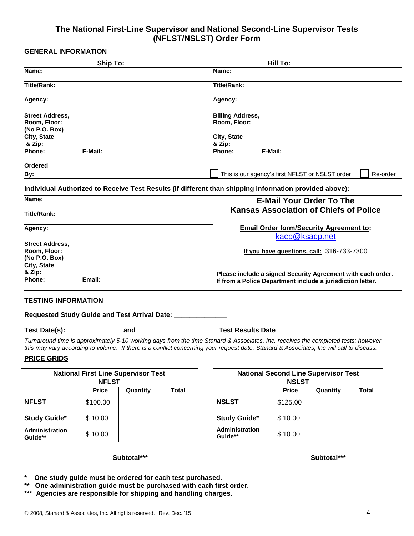### **The National First-Line Supervisor and National Second-Line Supervisor Tests (NFLST/NSLST) Order Form**

#### **GENERAL INFORMATION**

|                               | <b>Ship To:</b>                                 | <b>Bill To:</b>          |  |  |  |  |  |
|-------------------------------|-------------------------------------------------|--------------------------|--|--|--|--|--|
| Name:                         |                                                 | Name:                    |  |  |  |  |  |
| <b>Title/Rank:</b>            |                                                 | <b>Title/Rank:</b>       |  |  |  |  |  |
| Agency:                       |                                                 | Agency:                  |  |  |  |  |  |
| <b>Street Address,</b>        |                                                 | <b>Billing Address,</b>  |  |  |  |  |  |
| Room, Floor:<br>(No P.O. Box) |                                                 | Room, Floor:             |  |  |  |  |  |
| City, State<br>& Zip:         |                                                 | City, State<br>& Zip:    |  |  |  |  |  |
| Phone:                        | E-Mail:                                         | E-Mail:<br><b>Phone:</b> |  |  |  |  |  |
| Ordered                       |                                                 |                          |  |  |  |  |  |
| By:                           | This is our agency's first NFLST or NSLST order |                          |  |  |  |  |  |

#### **Individual Authorized to Receive Test Results (if different than shipping information provided above):**

| Name:                                                          | <b>E-Mail Your Order To The</b>                                                                                           |  |  |  |
|----------------------------------------------------------------|---------------------------------------------------------------------------------------------------------------------------|--|--|--|
| Title/Rank:                                                    | <b>Kansas Association of Chiefs of Police</b>                                                                             |  |  |  |
| Agency:                                                        | <b>Email Order form/Security Agreement to:</b><br>kacp@ksacp.net                                                          |  |  |  |
| <b>Street Address,</b><br><b>Room, Floor:</b><br>(No P.O. Box) | If you have questions, call: $316-733-7300$                                                                               |  |  |  |
| City, State<br>& Zip:<br><b>Phone:</b><br>Email:               | Please include a signed Security Agreement with each order.<br>If from a Police Department include a jurisdiction letter. |  |  |  |

#### **TESTING INFORMATION**

**Requested Study Guide and Test Arrival Date: \_\_\_\_\_\_\_\_\_\_\_\_\_\_** 

**Test Date(s): \_\_\_\_\_\_\_\_\_\_\_\_\_\_ and \_\_\_\_\_\_\_\_\_\_\_\_\_\_ Test Results Date \_\_\_\_\_\_\_\_\_\_\_\_\_\_**

*Turnaround time is approximately 5-10 working days from the time Stanard & Associates, Inc. receives the completed tests; however this may vary according to volume. If there is a conflict concerning your request date, Stanard & Associates, Inc will call to discuss.*

#### **PRICE GRIDS**

| <b>National First Line Supervisor Test</b><br><b>NFLST</b> |              |          |       |                                  | <b>NSLST</b> | <b>National Second Line Supervisor Test</b> |  |
|------------------------------------------------------------|--------------|----------|-------|----------------------------------|--------------|---------------------------------------------|--|
|                                                            | <b>Price</b> | Quantity | Total |                                  | <b>Price</b> | Quantity                                    |  |
| <b>NFLST</b>                                               | \$100.00     |          |       | <b>NSLST</b>                     | \$125.00     |                                             |  |
| <b>Study Guide*</b>                                        | \$10.00      |          |       | <b>Study Guide*</b>              | \$10.00      |                                             |  |
| Administration<br>Guide**                                  | \$10.00      |          |       | <b>Administration</b><br>Guide** | \$10.00      |                                             |  |

**Subtotal\*\*\* Subtotal\*\*\***

| <b>t Line Supervisor Test</b><br><b>NFLST</b> |          |       | <b>National Second Line Supervisor Test</b><br><b>NSLST</b> |              |          |              |
|-----------------------------------------------|----------|-------|-------------------------------------------------------------|--------------|----------|--------------|
| <b>Price</b>                                  | Quantity | Total |                                                             | <b>Price</b> | Quantity | <b>Total</b> |
| 00.00                                         |          |       | <b>NSLST</b>                                                | \$125.00     |          |              |
| 10.00                                         |          |       | <b>Study Guide*</b>                                         | \$10.00      |          |              |
| 10.00                                         |          |       | Administration<br>Guide**                                   | \$10.00      |          |              |

- **\* One study guide must be ordered for each test purchased.**
- **\*\* One administration guide must be purchased with each first order.**
- **\*\*\* Agencies are responsible for shipping and handling charges.**